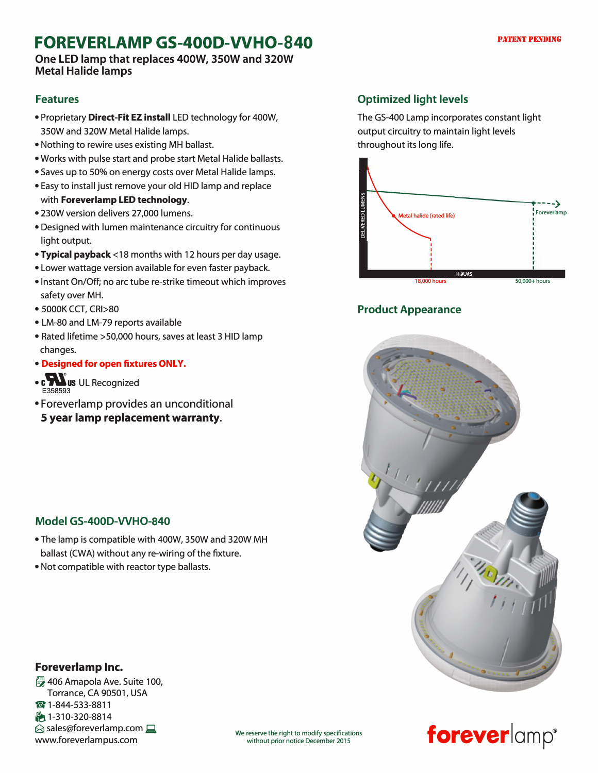# **FOREVERLAMP GS-4000-VVH0-840**

**One LED lamp that replaces 400W, 350W and 320W Metal Halide lamps** 

### **Features**

- Proprietary **Direct-Fit EZ install** LED technology for 400W, 350W and 320W Metal Halide lamps.
- Nothing to rewire uses existing MH ballast.
- Works with pulse start and probe start Metal Halide ballasts.
- Saves up to 50% on energy costs over Metal Halide lamps. • Easy to install just remove your old HID lamp and replace
- with **Foreverlamp LED technology.**
- 230W version delivers 27,000 lumens.
- Designed with lumen maintenance circuitry for continuous light output.
- **Typical payback<** 18 months with 12 hours per day usage.
- Lower wattage version available for even faster payback.
- Instant On/Off; no arc tube re-strike timeout which improves safety over MH.
- 5000K CCT, CRI>80
- LM-80 and LM-79 reports available
- Rated lifetime >50,000 hours, saves at least 3 HID lamp changes.
- **Designed for open fixtures ONLY.**
- c $\sum$ us UL Recognized E358593
- Foreverlamp provides an unconditional
- **5 year lamp replacement warranty.**

### **Model GS-400D-WH0-840**

- The lamp is compatible with 400W, 350W and 320W MH ballast (CWA) without any re-wiring of the fixture.
- Not compatible with reactor type ballasts.

### **Foreverlamp Inc.**

� 406 Amapola Ave. Suite 100, Torrance, CA 90501, USA **@** 1-844-533-8811 � 1-310-320-8814  $\otimes$  sales@foreverlamp.com  $\Box$ www.foreverlampus.com

### **Optimized light levels**

The GS-400 Lamp incorporates constant light output circuitry to maintain light levels throughout its long life.



### **Product Appearance**





## We reserve the right to modify specifications<br>without prior notice December 2015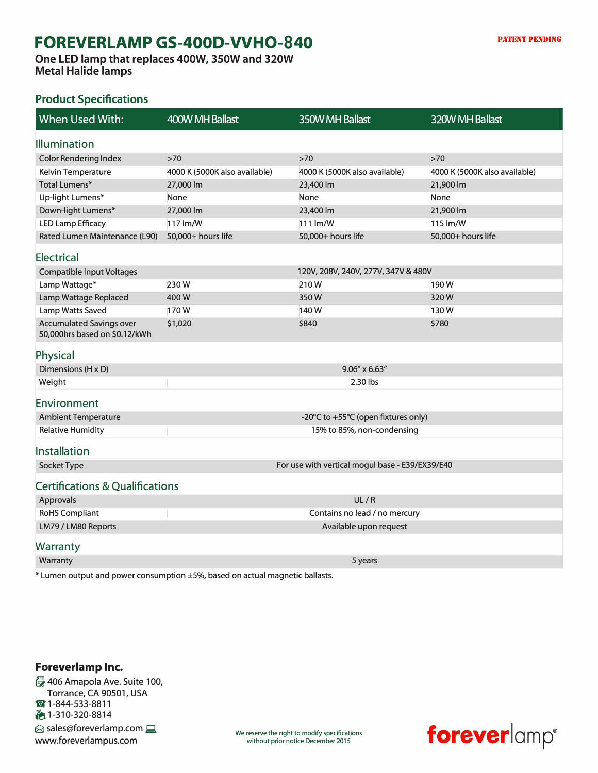# **FOREVERLAMP GS-4000-VVH0-840**

**One LED lamp that replaces 400W, 350W and 320W Metal Halide lamps** 

#### **Product Specifications**

| When Used With:                                                  | 400W MH Ballast                                 | 350W MH Ballast               | 320W MH Ballast               |
|------------------------------------------------------------------|-------------------------------------------------|-------------------------------|-------------------------------|
| <b>Illumination</b>                                              |                                                 |                               |                               |
| <b>Color Rendering Index</b>                                     | $>70$                                           | $>70$                         | $>70$                         |
| Kelvin Temperature                                               | 4000 K (5000K also available)                   | 4000 K (5000K also available) | 4000 K (5000K also available) |
| <b>Total Lumens*</b>                                             | 27,000 lm                                       | 23,400 lm                     | 21,900 lm                     |
| Up-light Lumens*                                                 | None                                            | None                          | None                          |
| Down-light Lumens*                                               | 27,000 lm                                       | 23,400 lm                     | 21,900 lm                     |
| <b>LED Lamp Efficacy</b>                                         | 117 lm/W                                        | 111 lm/W                      | 115 lm/W                      |
| Rated Lumen Maintenance (L90)                                    | 50,000+ hours life                              | 50,000+ hours life            | 50,000+ hours life            |
| <b>Electrical</b>                                                |                                                 |                               |                               |
| <b>Compatible Input Voltages</b>                                 | 120V, 208V, 240V, 277V, 347V & 480V             |                               |                               |
| Lamp Wattage*                                                    | 230W                                            | 210W                          | 190W                          |
| Lamp Wattage Replaced                                            | 400W                                            | 350W                          | 320W                          |
| Lamp Watts Saved                                                 | 170W                                            | 140W                          | 130W                          |
| <b>Accumulated Savings over</b><br>50,000hrs based on \$0.12/kWh | \$1,020                                         | \$840                         | \$780                         |
| Physical                                                         |                                                 |                               |                               |
| Dimensions (H x D)                                               | $9.06'' \times 6.63''$                          |                               |                               |
| Weight                                                           | 2.30 lbs                                        |                               |                               |
| Environment                                                      |                                                 |                               |                               |
| <b>Ambient Temperature</b>                                       | -20°C to +55°C (open fixtures only)             |                               |                               |
| <b>Relative Humidity</b>                                         | 15% to 85%, non-condensing                      |                               |                               |
| Installation                                                     |                                                 |                               |                               |
| Socket Type                                                      | For use with vertical mogul base - E39/EX39/E40 |                               |                               |
| <b>Certifications &amp; Qualifications</b>                       |                                                 |                               |                               |
| Approvals                                                        |                                                 | UL/R                          |                               |
| <b>RoHS Compliant</b>                                            | Contains no lead / no mercury                   |                               |                               |
| LM79 / LM80 Reports                                              | Available upon request                          |                               |                               |
| <b>Warranty</b>                                                  |                                                 |                               |                               |
| Warranty                                                         |                                                 | 5 years                       |                               |
|                                                                  |                                                 |                               |                               |

\* Lumen output and power consumption ±5%, based on actual magnetic ballasts.

#### **Foreverlamp Inc.**  � 406 Amapola Ave. Suite 100, Torrance, CA 90501, USA � 1-844-533-8811 � 1-310-320-8814  $\otimes$  sales@foreverlamp.com www.foreverlampus.com

We reserve the right to modify specifications<br>without prior notice December 2015